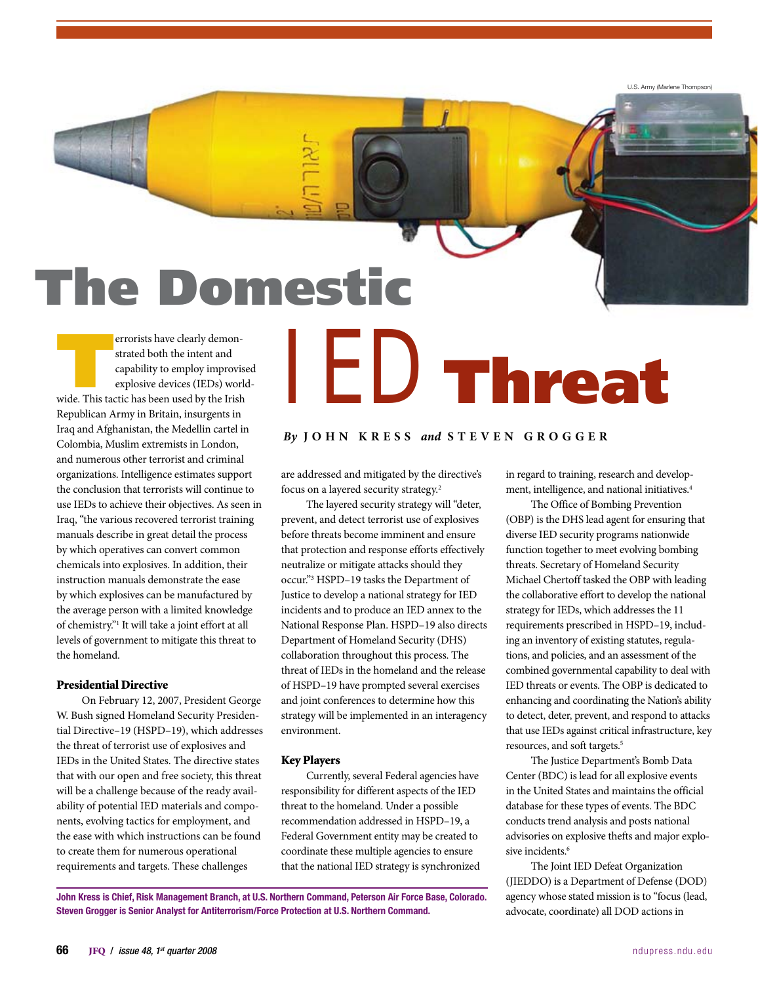U.S. Army (Marlene Thompson)

# The Domestic

errorists have clearly demon-<br>strated both the intent and<br>capability to employ improvise<br>explosive devices (IEDs) work<br>wide. This tactic has been used by the Irish strated both the intent and capability to employ improvised explosive devices (IEDs) world-Republican Army in Britain, insurgents in Iraq and Afghanistan, the Medellin cartel in Colombia, Muslim extremists in London, and numerous other terrorist and criminal organizations. Intelligence estimates support the conclusion that terrorists will continue to use IEDs to achieve their objectives. As seen in Iraq, "the various recovered terrorist training manuals describe in great detail the process by which operatives can convert common chemicals into explosives. In addition, their instruction manuals demonstrate the ease by which explosives can be manufactured by the average person with a limited knowledge of chemistry."<sup>1</sup> It will take a joint effort at all levels of government to mitigate this threat to the homeland.

#### Presidential Directive

On February 12, 2007, President George W. Bush signed Homeland Security Presidential Directive–19 (HSPD–19), which addresses the threat of terrorist use of explosives and IEDs in the United States. The directive states that with our open and free society, this threat will be a challenge because of the ready availability of potential IED materials and components, evolving tactics for employment, and the ease with which instructions can be found to create them for numerous operational requirements and targets. These challenges

# IED Threat

## *By* **J o h n K r e s s** *and* **S t e v e n G r o gg e r**

are addressed and mitigated by the directive's focus on a layered security strategy.2

The layered security strategy will "deter, prevent, and detect terrorist use of explosives before threats become imminent and ensure that protection and response efforts effectively neutralize or mitigate attacks should they occur."3 HSPD–19 tasks the Department of Justice to develop a national strategy for IED incidents and to produce an IED annex to the National Response Plan. HSPD–19 also directs Department of Homeland Security (DHS) collaboration throughout this process. The threat of IEDs in the homeland and the release of HSPD–19 have prompted several exercises and joint conferences to determine how this strategy will be implemented in an interagency environment.

#### Key Players

Currently, several Federal agencies have responsibility for different aspects of the IED threat to the homeland. Under a possible recommendation addressed in HSPD–19, a Federal Government entity may be created to coordinate these multiple agencies to ensure that the national IED strategy is synchronized in regard to training, research and development, intelligence, and national initiatives.<sup>4</sup>

The Office of Bombing Prevention (OBP) is the DHS lead agent for ensuring that diverse IED security programs nationwide function together to meet evolving bombing threats. Secretary of Homeland Security Michael Chertoff tasked the OBP with leading the collaborative effort to develop the national strategy for IEDs, which addresses the 11 requirements prescribed in HSPD–19, including an inventory of existing statutes, regulations, and policies, and an assessment of the combined governmental capability to deal with IED threats or events. The OBP is dedicated to enhancing and coordinating the Nation's ability to detect, deter, prevent, and respond to attacks that use IEDs against critical infrastructure, key resources, and soft targets.5

The Justice Department's Bomb Data Center (BDC) is lead for all explosive events in the United States and maintains the official database for these types of events. The BDC conducts trend analysis and posts national advisories on explosive thefts and major explosive incidents.<sup>6</sup>

The Joint IED Defeat Organization (JIEDDO) is a Department of Defense (DOD) agency whose stated mission is to "focus (lead, advocate, coordinate) all DOD actions in

John Kress is Chief, Risk Management Branch, at U.S. Northern Command, Peterson Air Force Base, Colorado. Steven Grogger is Senior Analyst for Antiterrorism/Force Protection at U.S. Northern Command.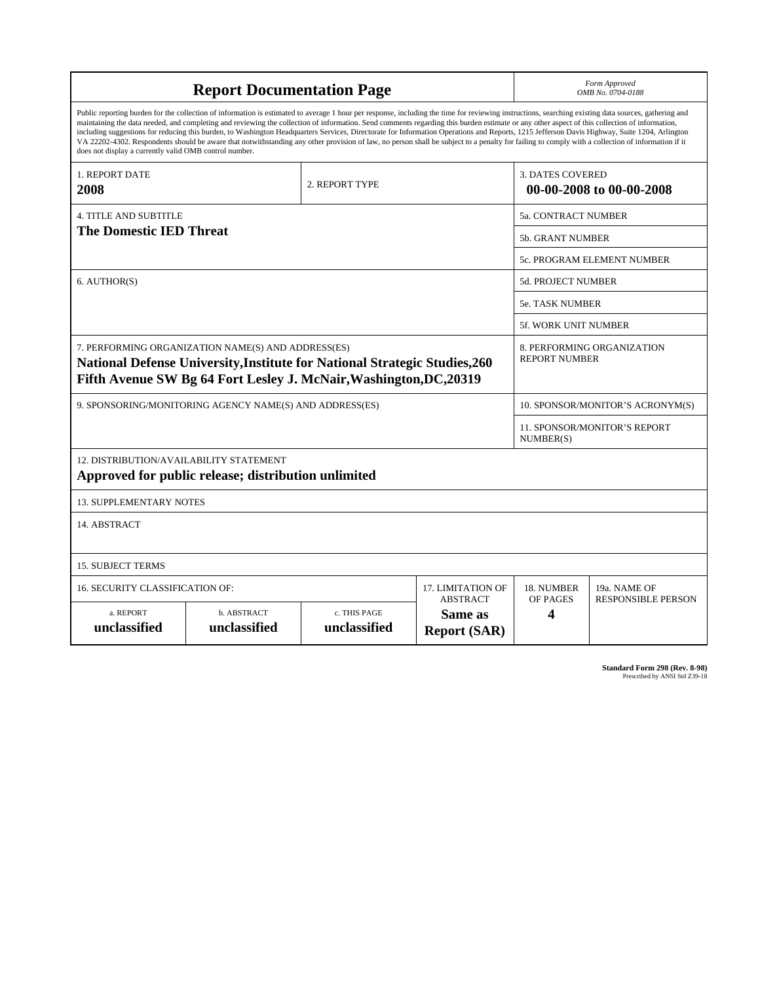| <b>Report Documentation Page</b>                                                                                                                                                                                                                                                                                                                                                                                                                                                                                                                                                                                                                                                                                                                                                                                                                                   |                             |                              |                                                   | Form Approved<br>OMB No. 0704-0188                 |                                                     |  |
|--------------------------------------------------------------------------------------------------------------------------------------------------------------------------------------------------------------------------------------------------------------------------------------------------------------------------------------------------------------------------------------------------------------------------------------------------------------------------------------------------------------------------------------------------------------------------------------------------------------------------------------------------------------------------------------------------------------------------------------------------------------------------------------------------------------------------------------------------------------------|-----------------------------|------------------------------|---------------------------------------------------|----------------------------------------------------|-----------------------------------------------------|--|
| Public reporting burden for the collection of information is estimated to average 1 hour per response, including the time for reviewing instructions, searching existing data sources, gathering and<br>maintaining the data needed, and completing and reviewing the collection of information. Send comments regarding this burden estimate or any other aspect of this collection of information,<br>including suggestions for reducing this burden, to Washington Headquarters Services, Directorate for Information Operations and Reports, 1215 Jefferson Davis Highway, Suite 1204, Arlington<br>VA 22202-4302. Respondents should be aware that notwithstanding any other provision of law, no person shall be subject to a penalty for failing to comply with a collection of information if it<br>does not display a currently valid OMB control number. |                             |                              |                                                   |                                                    |                                                     |  |
| 1. REPORT DATE<br>2008                                                                                                                                                                                                                                                                                                                                                                                                                                                                                                                                                                                                                                                                                                                                                                                                                                             |                             | 2. REPORT TYPE               |                                                   |                                                    | <b>3. DATES COVERED</b><br>00-00-2008 to 00-00-2008 |  |
| <b>4. TITLE AND SUBTITLE</b>                                                                                                                                                                                                                                                                                                                                                                                                                                                                                                                                                                                                                                                                                                                                                                                                                                       |                             |                              |                                                   | 5a. CONTRACT NUMBER                                |                                                     |  |
| <b>The Domestic IED Threat</b>                                                                                                                                                                                                                                                                                                                                                                                                                                                                                                                                                                                                                                                                                                                                                                                                                                     |                             |                              |                                                   | <b>5b. GRANT NUMBER</b>                            |                                                     |  |
|                                                                                                                                                                                                                                                                                                                                                                                                                                                                                                                                                                                                                                                                                                                                                                                                                                                                    |                             |                              |                                                   | 5c. PROGRAM ELEMENT NUMBER                         |                                                     |  |
| 6. AUTHOR(S)                                                                                                                                                                                                                                                                                                                                                                                                                                                                                                                                                                                                                                                                                                                                                                                                                                                       |                             |                              |                                                   | <b>5d. PROJECT NUMBER</b>                          |                                                     |  |
|                                                                                                                                                                                                                                                                                                                                                                                                                                                                                                                                                                                                                                                                                                                                                                                                                                                                    |                             |                              |                                                   | <b>5e. TASK NUMBER</b>                             |                                                     |  |
|                                                                                                                                                                                                                                                                                                                                                                                                                                                                                                                                                                                                                                                                                                                                                                                                                                                                    |                             |                              |                                                   | <b>5f. WORK UNIT NUMBER</b>                        |                                                     |  |
| 7. PERFORMING ORGANIZATION NAME(S) AND ADDRESS(ES)<br><b>National Defense University, Institute for National Strategic Studies, 260</b><br>Fifth Avenue SW Bg 64 Fort Lesley J. McNair, Washington, DC, 20319                                                                                                                                                                                                                                                                                                                                                                                                                                                                                                                                                                                                                                                      |                             |                              |                                                   | 8. PERFORMING ORGANIZATION<br><b>REPORT NUMBER</b> |                                                     |  |
| 9. SPONSORING/MONITORING AGENCY NAME(S) AND ADDRESS(ES)                                                                                                                                                                                                                                                                                                                                                                                                                                                                                                                                                                                                                                                                                                                                                                                                            |                             |                              |                                                   | 10. SPONSOR/MONITOR'S ACRONYM(S)                   |                                                     |  |
|                                                                                                                                                                                                                                                                                                                                                                                                                                                                                                                                                                                                                                                                                                                                                                                                                                                                    |                             |                              |                                                   | 11. SPONSOR/MONITOR'S REPORT<br>NUMBER(S)          |                                                     |  |
| 12. DISTRIBUTION/AVAILABILITY STATEMENT<br>Approved for public release; distribution unlimited                                                                                                                                                                                                                                                                                                                                                                                                                                                                                                                                                                                                                                                                                                                                                                     |                             |                              |                                                   |                                                    |                                                     |  |
| <b>13. SUPPLEMENTARY NOTES</b>                                                                                                                                                                                                                                                                                                                                                                                                                                                                                                                                                                                                                                                                                                                                                                                                                                     |                             |                              |                                                   |                                                    |                                                     |  |
| 14. ABSTRACT                                                                                                                                                                                                                                                                                                                                                                                                                                                                                                                                                                                                                                                                                                                                                                                                                                                       |                             |                              |                                                   |                                                    |                                                     |  |
| <b>15. SUBJECT TERMS</b>                                                                                                                                                                                                                                                                                                                                                                                                                                                                                                                                                                                                                                                                                                                                                                                                                                           |                             |                              |                                                   |                                                    |                                                     |  |
| <b>16. SECURITY CLASSIFICATION OF:</b>                                                                                                                                                                                                                                                                                                                                                                                                                                                                                                                                                                                                                                                                                                                                                                                                                             | 17. LIMITATION OF           | 18. NUMBER                   | 19a. NAME OF                                      |                                                    |                                                     |  |
| a. REPORT<br>unclassified                                                                                                                                                                                                                                                                                                                                                                                                                                                                                                                                                                                                                                                                                                                                                                                                                                          | b. ABSTRACT<br>unclassified | c. THIS PAGE<br>unclassified | <b>ABSTRACT</b><br>Same as<br><b>Report (SAR)</b> | OF PAGES<br>4                                      | <b>RESPONSIBLE PERSON</b>                           |  |

**Standard Form 298 (Rev. 8-98)**<br>Prescribed by ANSI Std Z39-18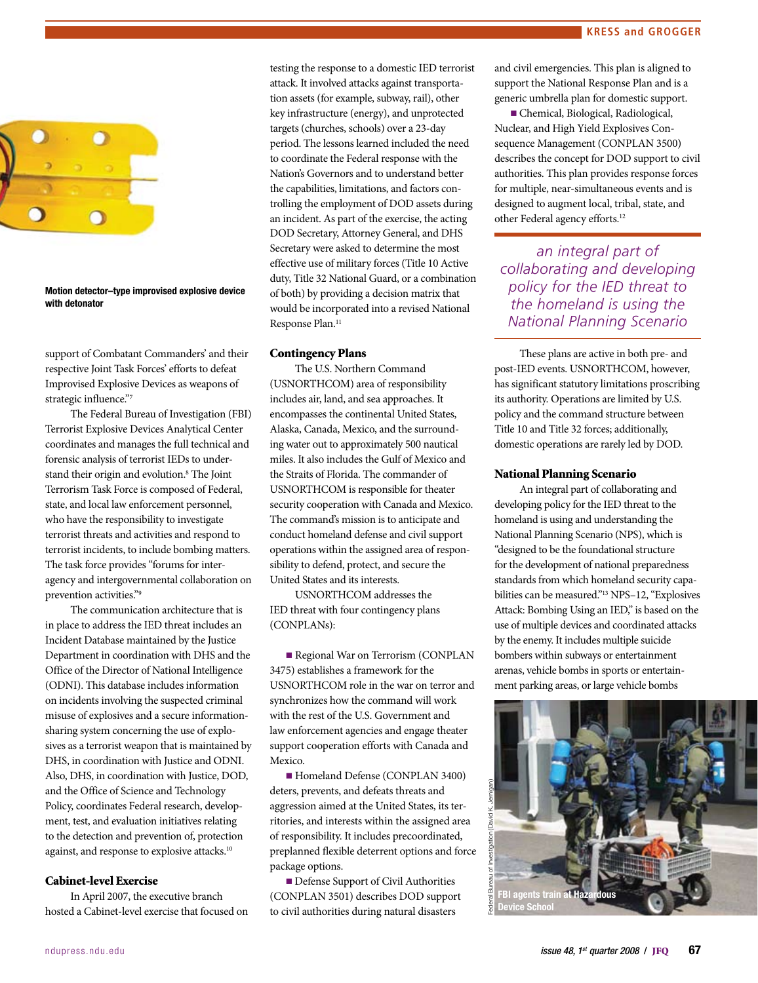

Motion detector–type improvised explosive device with detonator

support of Combatant Commanders' and their respective Joint Task Forces' efforts to defeat Improvised Explosive Devices as weapons of strategic influence."7

The Federal Bureau of Investigation (FBI) Terrorist Explosive Devices Analytical Center coordinates and manages the full technical and forensic analysis of terrorist IEDs to understand their origin and evolution.8 The Joint Terrorism Task Force is composed of Federal, state, and local law enforcement personnel, who have the responsibility to investigate terrorist threats and activities and respond to terrorist incidents, to include bombing matters. The task force provides "forums for interagency and intergovernmental collaboration on prevention activities."9

The communication architecture that is in place to address the IED threat includes an Incident Database maintained by the Justice Department in coordination with DHS and the Office of the Director of National Intelligence (ODNI). This database includes information on incidents involving the suspected criminal misuse of explosives and a secure informationsharing system concerning the use of explosives as a terrorist weapon that is maintained by DHS, in coordination with Justice and ODNI. Also, DHS, in coordination with Justice, DOD, and the Office of Science and Technology Policy, coordinates Federal research, development, test, and evaluation initiatives relating to the detection and prevention of, protection against, and response to explosive attacks.10

#### Cabinet-level Exercise

In April 2007, the executive branch hosted a Cabinet-level exercise that focused on

testing the response to a domestic IED terrorist attack. It involved attacks against transportation assets (for example, subway, rail), other key infrastructure (energy), and unprotected targets (churches, schools) over a 23-day period. The lessons learned included the need to coordinate the Federal response with the Nation's Governors and to understand better the capabilities, limitations, and factors controlling the employment of DOD assets during an incident. As part of the exercise, the acting DOD Secretary, Attorney General, and DHS Secretary were asked to determine the most effective use of military forces (Title 10 Active duty, Title 32 National Guard, or a combination of both) by providing a decision matrix that would be incorporated into a revised National Response Plan.<sup>11</sup>

#### Contingency Plans

The U.S. Northern Command (USNORTHCOM) area of responsibility includes air, land, and sea approaches. It encompasses the continental United States, Alaska, Canada, Mexico, and the surrounding water out to approximately 500 nautical miles. It also includes the Gulf of Mexico and the Straits of Florida. The commander of USNORTHCOM is responsible for theater security cooperation with Canada and Mexico. The command's mission is to anticipate and conduct homeland defense and civil support operations within the assigned area of responsibility to defend, protect, and secure the United States and its interests.

USNORTHCOM addresses the IED threat with four contingency plans (CONPLANs):

■ Regional War on Terrorism (CONPLAN 3475) establishes a framework for the USNORTHCOM role in the war on terror and synchronizes how the command will work with the rest of the U.S. Government and law enforcement agencies and engage theater support cooperation efforts with Canada and Mexico.

■ Homeland Defense (CONPLAN 3400) deters, prevents, and defeats threats and aggression aimed at the United States, its territories, and interests within the assigned area of responsibility. It includes precoordinated, preplanned flexible deterrent options and force package options.

**n** Defense Support of Civil Authorities (CONPLAN 3501) describes DOD support to civil authorities during natural disasters

and civil emergencies. This plan is aligned to support the National Response Plan and is a generic umbrella plan for domestic support.

n Chemical, Biological, Radiological, Nuclear, and High Yield Explosives Consequence Management (CONPLAN 3500) describes the concept for DOD support to civil authorities. This plan provides response forces for multiple, near-simultaneous events and is designed to augment local, tribal, state, and other Federal agency efforts.12

*an integral part of collaborating and developing policy for the IED threat to the homeland is using the National Planning Scenario*

These plans are active in both pre- and post-IED events. USNORTHCOM, however, has significant statutory limitations proscribing its authority. Operations are limited by U.S. policy and the command structure between Title 10 and Title 32 forces; additionally, domestic operations are rarely led by DOD.

#### National Planning Scenario

An integral part of collaborating and developing policy for the IED threat to the homeland is using and understanding the National Planning Scenario (NPS), which is "designed to be the foundational structure for the development of national preparedness standards from which homeland security capabilities can be measured."13 NPS–12, "Explosives Attack: Bombing Using an IED," is based on the use of multiple devices and coordinated attacks by the enemy. It includes multiple suicide bombers within subways or entertainment arenas, vehicle bombs in sports or entertainment parking areas, or large vehicle bombs

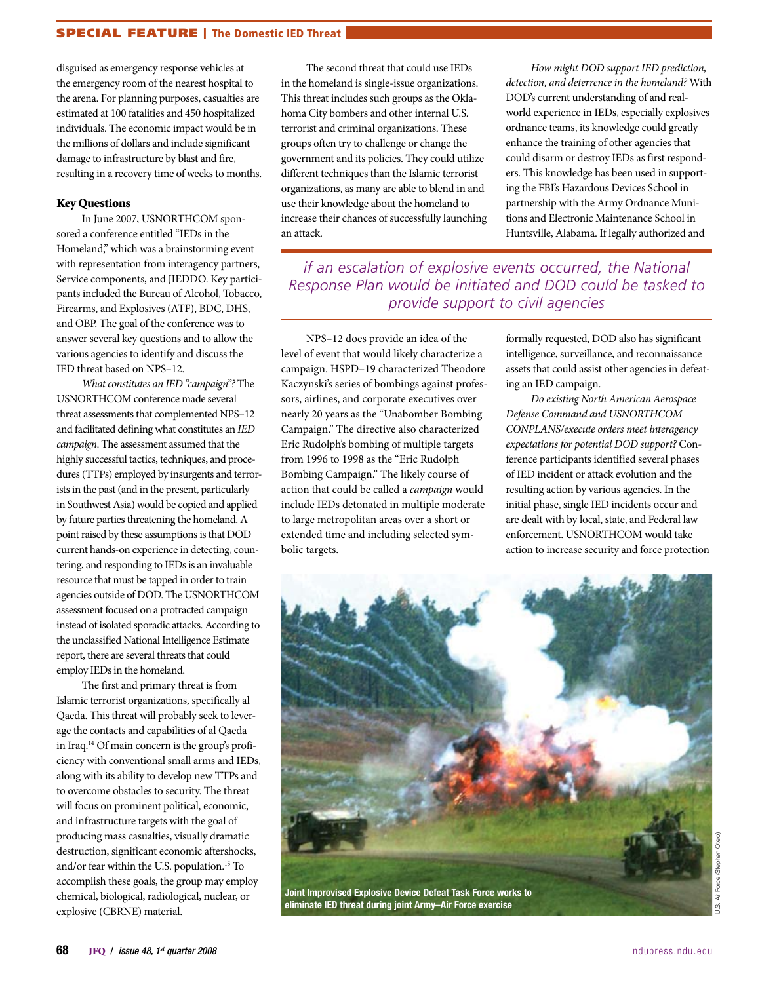# SPECIAL FEATURE | The Domestic IED Threat

disguised as emergency response vehicles at the emergency room of the nearest hospital to the arena. For planning purposes, casualties are estimated at 100 fatalities and 450 hospitalized individuals. The economic impact would be in the millions of dollars and include significant damage to infrastructure by blast and fire, resulting in a recovery time of weeks to months.

### Key Questions

In June 2007, USNORTHCOM sponsored a conference entitled "IEDs in the Homeland," which was a brainstorming event with representation from interagency partners, Service components, and JIEDDO. Key participants included the Bureau of Alcohol, Tobacco, Firearms, and Explosives (ATF), BDC, DHS, and OBP. The goal of the conference was to answer several key questions and to allow the various agencies to identify and discuss the IED threat based on NPS–12.

*What constitutes an IED "campaign"?* The USNORTHCOM conference made several threat assessments that complemented NPS–12 and facilitated defining what constitutes an *IED campaign*. The assessment assumed that the highly successful tactics, techniques, and procedures (TTPs) employed by insurgents and terrorists in the past (and in the present, particularly in Southwest Asia) would be copied and applied by future parties threatening the homeland. A point raised by these assumptions is that DOD current hands-on experience in detecting, countering, and responding to IEDs is an invaluable resource that must be tapped in order to train agencies outside of DOD. The USNORTHCOM assessment focused on a protracted campaign instead of isolated sporadic attacks. According to the unclassified National Intelligence Estimate report, there are several threats that could employ IEDs in the homeland.

The first and primary threat is from Islamic terrorist organizations, specifically al Qaeda. This threat will probably seek to leverage the contacts and capabilities of al Qaeda in Iraq.14 Of main concern is the group's proficiency with conventional small arms and IEDs, along with its ability to develop new TTPs and to overcome obstacles to security. The threat will focus on prominent political, economic, and infrastructure targets with the goal of producing mass casualties, visually dramatic destruction, significant economic aftershocks, and/or fear within the U.S. population.15 To accomplish these goals, the group may employ chemical, biological, radiological, nuclear, or explosive (CBRNE) material.

The second threat that could use IEDs in the homeland is single-issue organizations. This threat includes such groups as the Oklahoma City bombers and other internal U.S. terrorist and criminal organizations. These groups often try to challenge or change the government and its policies. They could utilize different techniques than the Islamic terrorist organizations, as many are able to blend in and use their knowledge about the homeland to increase their chances of successfully launching an attack.

*How might DOD support IED prediction, detection, and deterrence in the homeland?* With DOD's current understanding of and realworld experience in IEDs, especially explosives ordnance teams, its knowledge could greatly enhance the training of other agencies that could disarm or destroy IEDs as first responders. This knowledge has been used in supporting the FBI's Hazardous Devices School in partnership with the Army Ordnance Munitions and Electronic Maintenance School in Huntsville, Alabama. If legally authorized and

*if an escalation of explosive events occurred, the National Response Plan would be initiated and DOD could be tasked to provide support to civil agencies*

NPS–12 does provide an idea of the level of event that would likely characterize a campaign. HSPD–19 characterized Theodore Kaczynski's series of bombings against professors, airlines, and corporate executives over nearly 20 years as the "Unabomber Bombing Campaign." The directive also characterized Eric Rudolph's bombing of multiple targets from 1996 to 1998 as the "Eric Rudolph Bombing Campaign." The likely course of action that could be called a *campaign* would include IEDs detonated in multiple moderate to large metropolitan areas over a short or extended time and including selected symbolic targets.

formally requested, DOD also has significant intelligence, surveillance, and reconnaissance assets that could assist other agencies in defeating an IED campaign.

*Do existing North American Aerospace Defense Command and USNORTHCOM CONPLANS/execute orders meet interagency expectations for potential DOD support?* Conference participants identified several phases of IED incident or attack evolution and the resulting action by various agencies. In the initial phase, single IED incidents occur and are dealt with by local, state, and Federal law enforcement. USNORTHCOM would take action to increase security and force protection



U.S. Air Force (Stephen Otero)Air Force